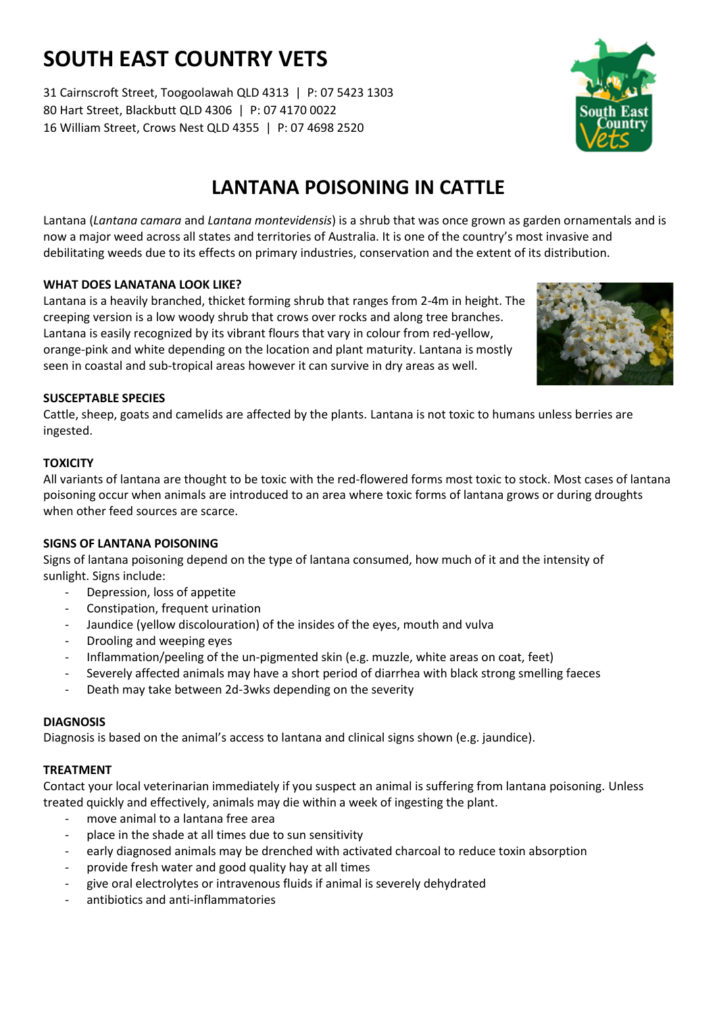# **SOUTH EAST COUNTRY VETS**

31 Cairnscroft Street, Toogoolawah QLD 4313 | P: 07 5423 1303 80 Hart Street, Blackbutt QLD 4306 | P: 07 4170 0022 16 William Street, Crows Nest QLD 4355 | P: 07 4698 2520



Lantana (*Lantana camara* and *Lantana montevidensis*) is a shrub that was once grown as garden ornamentals and is now a major weed across all states and territories of Australia. It is one of the country's most invasive and debilitating weeds due to its effects on primary industries, conservation and the extent of its distribution.

## **WHAT DOES LANATANA LOOK LIKE?**

Lantana is a heavily branched, thicket forming shrub that ranges from 2-4m in height. The creeping version is a low woody shrub that crows over rocks and along tree branches. Lantana is easily recognized by its vibrant flours that vary in colour from red-yellow, orange-pink and white depending on the location and plant maturity. Lantana is mostly seen in coastal and sub-tropical areas however it can survive in dry areas as well.



## **SUSCEPTABLE SPECIES**

Cattle, sheep, goats and camelids are affected by the plants. Lantana is not toxic to humans unless berries are ingested.

## **TOXICITY**

All variants of lantana are thought to be toxic with the red-flowered forms most toxic to stock. Most cases of lantana poisoning occur when animals are introduced to an area where toxic forms of lantana grows or during droughts when other feed sources are scarce.

#### **SIGNS OF LANTANA POISONING**

Signs of lantana poisoning depend on the type of lantana consumed, how much of it and the intensity of sunlight. Signs include:

- Depression, loss of appetite
- Constipation, frequent urination
- Jaundice (yellow discolouration) of the insides of the eyes, mouth and vulva
- Drooling and weeping eyes
- Inflammation/peeling of the un-pigmented skin (e.g. muzzle, white areas on coat, feet)
- Severely affected animals may have a short period of diarrhea with black strong smelling faeces
- Death may take between 2d-3wks depending on the severity

#### **DIAGNOSIS**

Diagnosis is based on the animal's access to lantana and clinical signs shown (e.g. jaundice).

## **TREATMENT**

Contact your local veterinarian immediately if you suspect an animal is suffering from lantana poisoning. Unless treated quickly and effectively, animals may die within a week of ingesting the plant.

- move animal to a lantana free area
- place in the shade at all times due to sun sensitivity
- early diagnosed animals may be drenched with activated charcoal to reduce toxin absorption
- provide fresh water and good quality hay at all times
- give oral electrolytes or intravenous fluids if animal is severely dehydrated
- antibiotics and anti-inflammatories